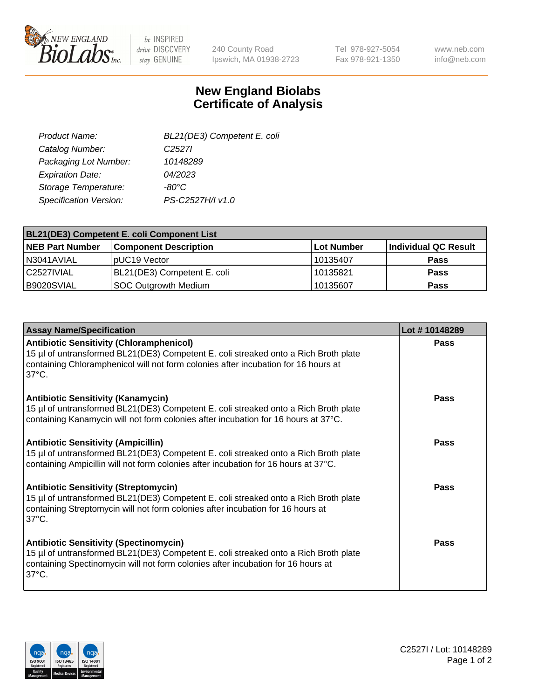

be INSPIRED drive DISCOVERY stay GENUINE

240 County Road Ipswich, MA 01938-2723 Tel 978-927-5054 Fax 978-921-1350

www.neb.com info@neb.com

## **New England Biolabs Certificate of Analysis**

| BL21(DE3) Competent E. coli |
|-----------------------------|
| C <sub>2527</sub>           |
| 10148289                    |
| 04/2023                     |
| -80°C                       |
| PS-C2527H/I v1.0            |
|                             |

| <b>BL21(DE3) Competent E. coli Component List</b> |                              |            |                      |  |
|---------------------------------------------------|------------------------------|------------|----------------------|--|
| <b>NEB Part Number</b>                            | <b>Component Description</b> | Lot Number | Individual QC Result |  |
| N3041AVIAL                                        | pUC19 Vector                 | 10135407   | <b>Pass</b>          |  |
| C2527IVIAL                                        | BL21(DE3) Competent E. coli  | 10135821   | <b>Pass</b>          |  |
| B9020SVIAL                                        | SOC Outgrowth Medium         | 10135607   | <b>Pass</b>          |  |

| <b>Assay Name/Specification</b>                                                                                                                                                                                                                 | Lot #10148289 |
|-------------------------------------------------------------------------------------------------------------------------------------------------------------------------------------------------------------------------------------------------|---------------|
| <b>Antibiotic Sensitivity (Chloramphenicol)</b><br>15 µl of untransformed BL21(DE3) Competent E. coli streaked onto a Rich Broth plate<br>containing Chloramphenicol will not form colonies after incubation for 16 hours at<br>$37^{\circ}$ C. | <b>Pass</b>   |
| <b>Antibiotic Sensitivity (Kanamycin)</b><br>15 µl of untransformed BL21(DE3) Competent E. coli streaked onto a Rich Broth plate<br>containing Kanamycin will not form colonies after incubation for 16 hours at 37°C.                          | Pass          |
| <b>Antibiotic Sensitivity (Ampicillin)</b><br>15 µl of untransformed BL21(DE3) Competent E. coli streaked onto a Rich Broth plate<br>containing Ampicillin will not form colonies after incubation for 16 hours at 37°C.                        | Pass          |
| <b>Antibiotic Sensitivity (Streptomycin)</b><br>15 µl of untransformed BL21(DE3) Competent E. coli streaked onto a Rich Broth plate<br>containing Streptomycin will not form colonies after incubation for 16 hours at<br>$37^{\circ}$ C.       | Pass          |
| <b>Antibiotic Sensitivity (Spectinomycin)</b><br>15 µl of untransformed BL21(DE3) Competent E. coli streaked onto a Rich Broth plate<br>containing Spectinomycin will not form colonies after incubation for 16 hours at<br>$37^{\circ}$ C.     | Pass          |